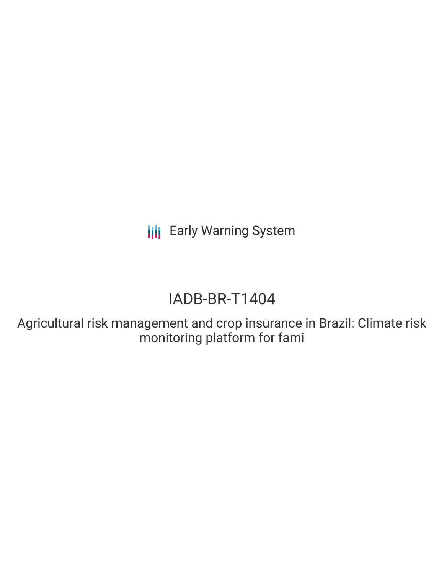**III** Early Warning System

# IADB-BR-T1404

Agricultural risk management and crop insurance in Brazil: Climate risk monitoring platform for fami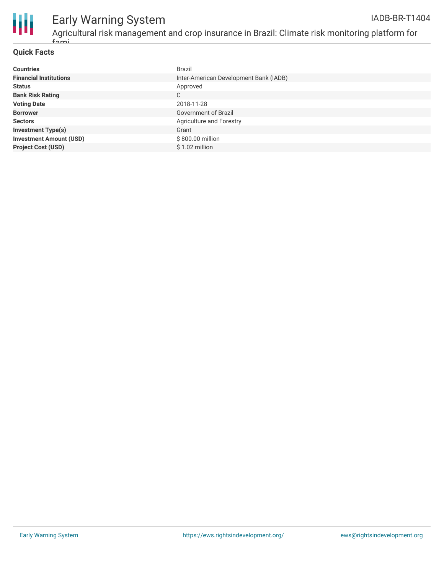

#### Early Warning System Agricultural risk management and crop insurance in Brazil: Climate risk monitoring platform for IADB-BR-T1404

#### **Quick Facts**

fami

| <b>Countries</b>               | <b>Brazil</b>                          |
|--------------------------------|----------------------------------------|
| <b>Financial Institutions</b>  | Inter-American Development Bank (IADB) |
| <b>Status</b>                  | Approved                               |
| <b>Bank Risk Rating</b>        | C                                      |
| <b>Voting Date</b>             | 2018-11-28                             |
| <b>Borrower</b>                | Government of Brazil                   |
| <b>Sectors</b>                 | Agriculture and Forestry               |
| <b>Investment Type(s)</b>      | Grant                                  |
| <b>Investment Amount (USD)</b> | \$800.00 million                       |
| <b>Project Cost (USD)</b>      | $$1.02$ million                        |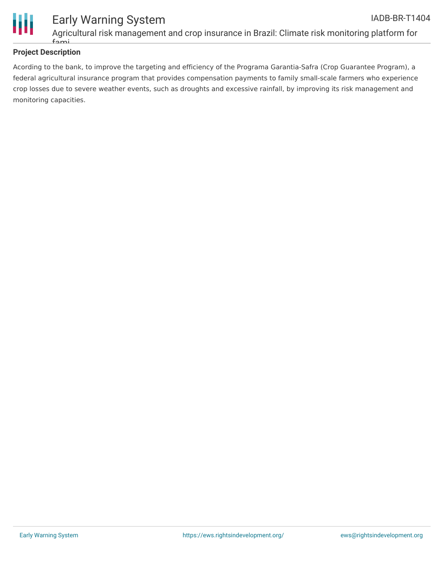

### **Project Description**

Acording to the bank, to improve the targeting and efficiency of the Programa Garantia-Safra (Crop Guarantee Program), a federal agricultural insurance program that provides compensation payments to family small-scale farmers who experience crop losses due to severe weather events, such as droughts and excessive rainfall, by improving its risk management and monitoring capacities.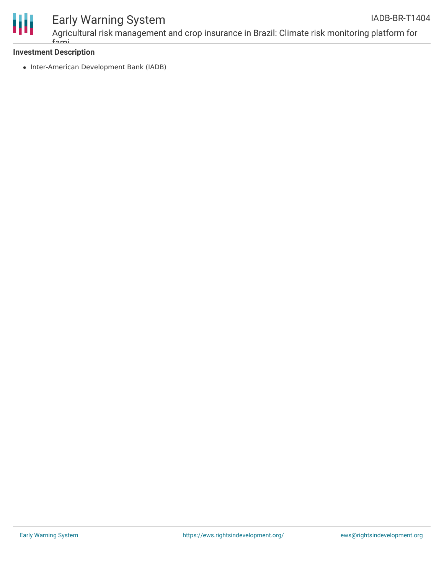

# Early Warning System

Agricultural risk management and crop insurance in Brazil: Climate risk monitoring platform for fami

#### **Investment Description**

• Inter-American Development Bank (IADB)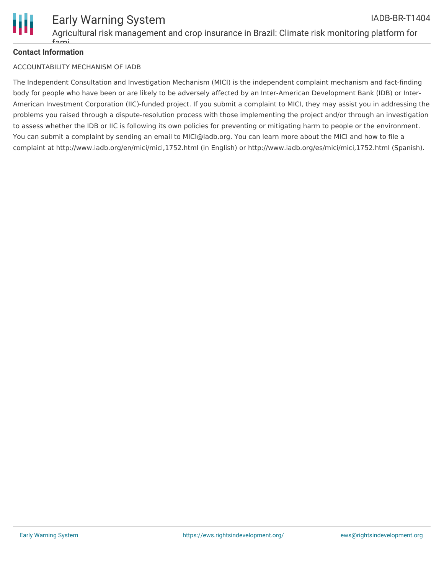

### **Contact Information**

#### ACCOUNTABILITY MECHANISM OF IADB

The Independent Consultation and Investigation Mechanism (MICI) is the independent complaint mechanism and fact-finding body for people who have been or are likely to be adversely affected by an Inter-American Development Bank (IDB) or Inter-American Investment Corporation (IIC)-funded project. If you submit a complaint to MICI, they may assist you in addressing the problems you raised through a dispute-resolution process with those implementing the project and/or through an investigation to assess whether the IDB or IIC is following its own policies for preventing or mitigating harm to people or the environment. You can submit a complaint by sending an email to MICI@iadb.org. You can learn more about the MICI and how to file a complaint at http://www.iadb.org/en/mici/mici,1752.html (in English) or http://www.iadb.org/es/mici/mici,1752.html (Spanish).